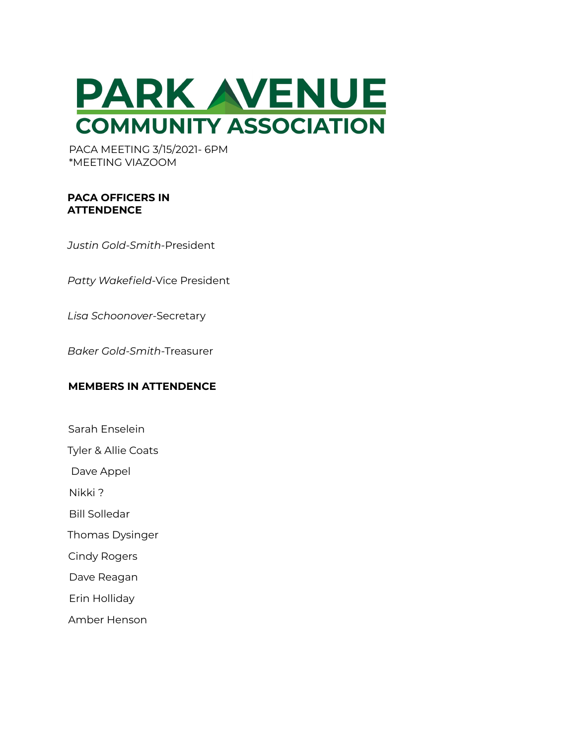

PACA MEETING 3/15/2021- 6PM \*MEETING VIAZOOM

### **PACA OFFICERS IN ATTENDENCE**

*Justin Gold-Smith*-President

*Patty Wakefield*-Vice President

*Lisa Schoonover*-Secretary

*Baker Gold-Smith*-Treasurer

### **MEMBERS IN ATTENDENCE**

- Sarah Enselein
- Tyler & Allie Coats
- Dave Appel
- Nikki ?
- Bill Solledar
- Thomas Dysinger
- Cindy Rogers
- Dave Reagan
- Erin Holliday
- Amber Henson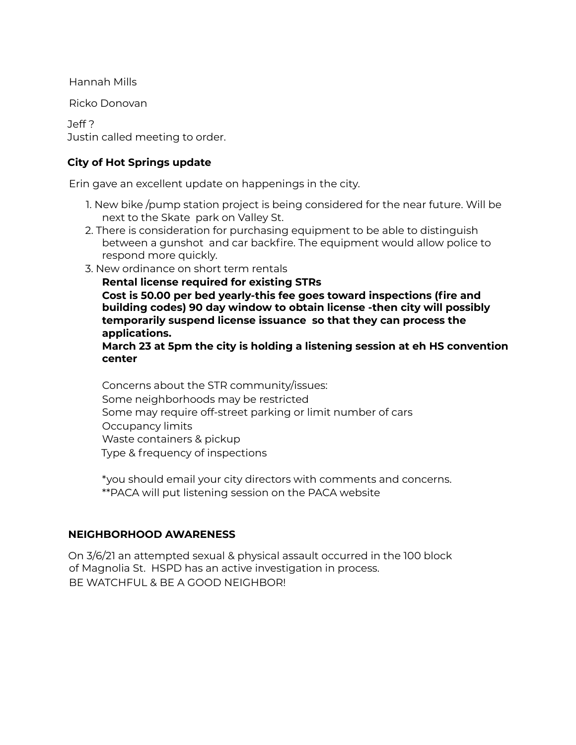Hannah Mills

Ricko Donovan

Jeff ? Justin called meeting to order.

# **City of Hot Springs update**

Erin gave an excellent update on happenings in the city.

- 1. New bike /pump station project is being considered for the near future. Will be next to the Skate park on Valley St.
- 2. There is consideration for purchasing equipment to be able to distinguish between a gunshot and car backfire. The equipment would allow police to respond more quickly.
- 3. New ordinance on short term rentals

**Rental license required for existing STRs Cost is 50.00 per bed yearly-this fee goes toward inspections (fire and building codes) 90 day window to obtain license -then city will possibly temporarily suspend license issuance so that they can process the applications.**

**March 23 at 5pm the city is holding a listening session at eh HS convention center**

Concerns about the STR community/issues: Some neighborhoods may be restricted Some may require off-street parking or limit number of cars Occupancy limits Waste containers & pickup Type & frequency of inspections

\*you should email your city directors with comments and concerns. \*\*PACA will put listening session on the PACA website

# **NEIGHBORHOOD AWARENESS**

On 3/6/21 an attempted sexual & physical assault occurred in the 100 block of Magnolia St. HSPD has an active investigation in process. BE WATCHFUL & BE A GOOD NEIGHBOR!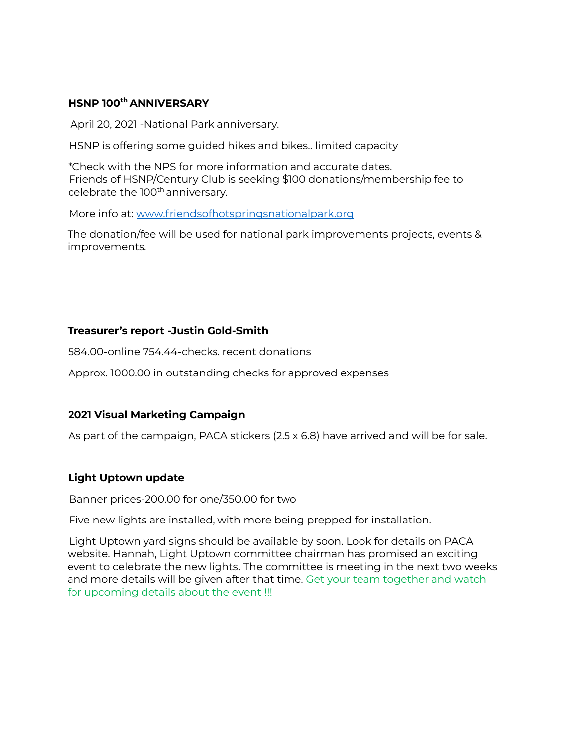## **HSNP 100 th ANNIVERSARY**

April 20, 2021 -National Park anniversary.

HSNP is offering some guided hikes and bikes.. limited capacity

\*Check with the NPS for more information and accurate dates. Friends of HSNP/Century Club is seeking \$100 donations/membership fee to celebrate the 100<sup>th</sup> anniversary.

More info at: www.friendsofhotspringsnationalpark.org

The donation/fee will be used for national park improvements projects, events & improvements.

### **Treasurer's report -Justin Gold-Smith**

584.00-online 754.44-checks. recent donations

Approx. 1000.00 in outstanding checks for approved expenses

### **2021 Visual Marketing Campaign**

As part of the campaign, PACA stickers (2.5 x 6.8) have arrived and will be for sale.

### **Light Uptown update**

Banner prices-200.00 for one/350.00 for two

Five new lights are installed, with more being prepped for installation.

Light Uptown yard signs should be available by soon. Look for details on PACA website. Hannah, Light Uptown committee chairman has promised an exciting event to celebrate the new lights. The committee is meeting in the next two weeks and more details will be given after that time. Get your team together and watch for upcoming details about the event !!!